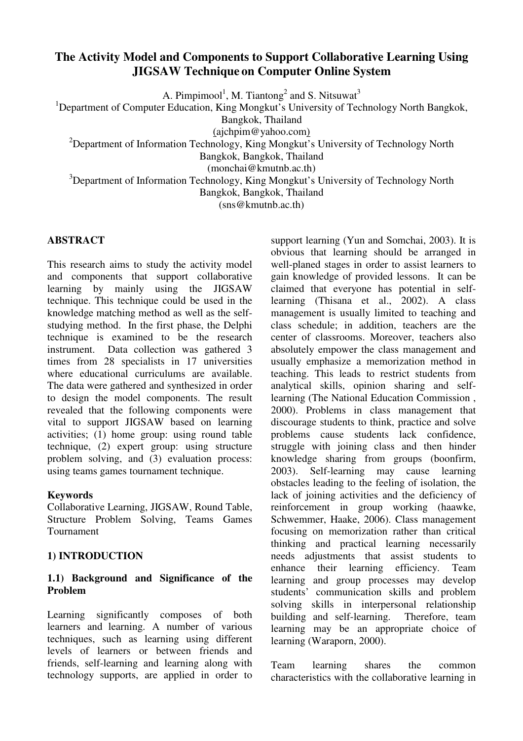# **The Activity Model and Components to Support Collaborative Learning Using JIGSAW Technique on Computer Online System**

A. Pimpimool<sup>1</sup>, M. Tiantong<sup>2</sup> and S. Nitsuwat<sup>3</sup>

<sup>1</sup>Department of Computer Education, King Mongkut's University of Technology North Bangkok,

Bangkok, Thailand

(ajchpim@yahoo.com)

<sup>2</sup>Department of Information Technology, King Mongkut's University of Technology North

Bangkok, Bangkok, Thailand

(monchai@kmutnb.ac.th)

<sup>3</sup>Department of Information Technology, King Mongkut's University of Technology North

Bangkok, Bangkok, Thailand

(sns@kmutnb.ac.th)

#### **ABSTRACT**

This research aims to study the activity model and components that support collaborative learning by mainly using the JIGSAW technique. This technique could be used in the knowledge matching method as well as the selfstudying method. In the first phase, the Delphi technique is examined to be the research instrument. Data collection was gathered 3 times from 28 specialists in 17 universities where educational curriculums are available. The data were gathered and synthesized in order to design the model components. The result revealed that the following components were vital to support JIGSAW based on learning activities; (1) home group: using round table technique, (2) expert group: using structure problem solving, and (3) evaluation process: using teams games tournament technique.

#### **Keywords**

Collaborative Learning, JIGSAW, Round Table, Structure Problem Solving, Teams Games Tournament

## **1) INTRODUCTION**

### **1.1) Background and Significance of the Problem**

Learning significantly composes of both learners and learning. A number of various techniques, such as learning using different levels of learners or between friends and friends, self-learning and learning along with technology supports, are applied in order to

support learning (Yun and Somchai, 2003). It is obvious that learning should be arranged in well-planed stages in order to assist learners to gain knowledge of provided lessons. It can be claimed that everyone has potential in selflearning (Thisana et al., 2002). A class management is usually limited to teaching and class schedule; in addition, teachers are the center of classrooms. Moreover, teachers also absolutely empower the class management and usually emphasize a memorization method in teaching. This leads to restrict students from analytical skills, opinion sharing and selflearning (The National Education Commission , 2000). Problems in class management that discourage students to think, practice and solve problems cause students lack confidence, struggle with joining class and then hinder knowledge sharing from groups (boonfirm, 2003). Self-learning may cause learning obstacles leading to the feeling of isolation, the lack of joining activities and the deficiency of reinforcement in group working (haawke, Schwemmer, Haake, 2006). Class management focusing on memorization rather than critical thinking and practical learning necessarily needs adjustments that assist students to enhance their learning efficiency. Team learning and group processes may develop students' communication skills and problem solving skills in interpersonal relationship building and self-learning. Therefore, team learning may be an appropriate choice of learning (Waraporn, 2000).

Team learning shares the common characteristics with the collaborative learning in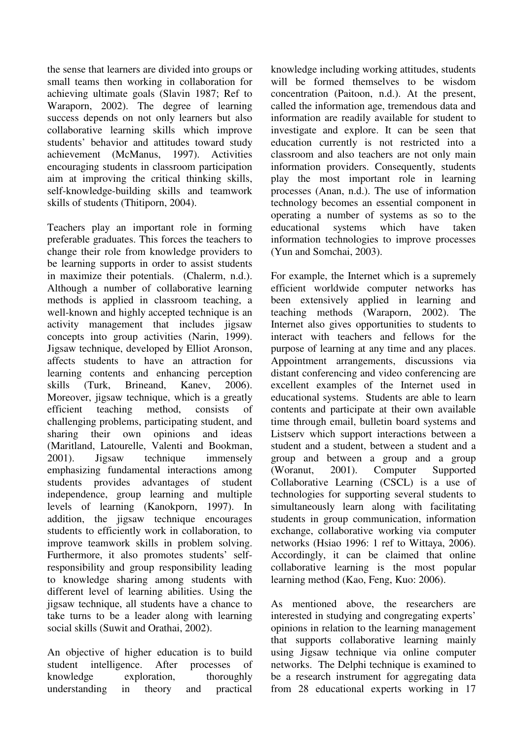the sense that learners are divided into groups or small teams then working in collaboration for achieving ultimate goals (Slavin 1987; Ref to Waraporn, 2002). The degree of learning success depends on not only learners but also collaborative learning skills which improve students' behavior and attitudes toward study achievement (McManus, 1997). Activities encouraging students in classroom participation aim at improving the critical thinking skills, self-knowledge-building skills and teamwork skills of students (Thitiporn, 2004).

Teachers play an important role in forming preferable graduates. This forces the teachers to change their role from knowledge providers to be learning supports in order to assist students in maximize their potentials. (Chalerm, n.d.). Although a number of collaborative learning methods is applied in classroom teaching, a well-known and highly accepted technique is an activity management that includes jigsaw concepts into group activities (Narin, 1999). Jigsaw technique, developed by Elliot Aronson, affects students to have an attraction for learning contents and enhancing perception skills (Turk, Brineand, Kanev, 2006). Moreover, jigsaw technique, which is a greatly efficient teaching method, consists of challenging problems, participating student, and sharing their own opinions and ideas (Maritland, Latourelle, Valenti and Bookman, 2001). Jigsaw technique immensely emphasizing fundamental interactions among students provides advantages of student independence, group learning and multiple levels of learning (Kanokporn, 1997). In addition, the jigsaw technique encourages students to efficiently work in collaboration, to improve teamwork skills in problem solving. Furthermore, it also promotes students' selfresponsibility and group responsibility leading to knowledge sharing among students with different level of learning abilities. Using the jigsaw technique, all students have a chance to take turns to be a leader along with learning social skills (Suwit and Orathai, 2002).

An objective of higher education is to build student intelligence. After processes of knowledge exploration, thoroughly understanding in theory and practical

knowledge including working attitudes, students will be formed themselves to be wisdom concentration (Paitoon, n.d.). At the present, called the information age, tremendous data and information are readily available for student to investigate and explore. It can be seen that education currently is not restricted into a classroom and also teachers are not only main information providers. Consequently, students play the most important role in learning processes (Anan, n.d.). The use of information technology becomes an essential component in operating a number of systems as so to the educational systems which have taken information technologies to improve processes (Yun and Somchai, 2003).

For example, the Internet which is a supremely efficient worldwide computer networks has been extensively applied in learning and teaching methods (Waraporn, 2002). The Internet also gives opportunities to students to interact with teachers and fellows for the purpose of learning at any time and any places. Appointment arrangements, discussions via distant conferencing and video conferencing are excellent examples of the Internet used in educational systems. Students are able to learn contents and participate at their own available time through email, bulletin board systems and Listserv which support interactions between a student and a student, between a student and a group and between a group and a group (Woranut, 2001). Computer Supported Collaborative Learning (CSCL) is a use of technologies for supporting several students to simultaneously learn along with facilitating students in group communication, information exchange, collaborative working via computer networks (Hsiao 1996: 1 ref to Wittaya, 2006). Accordingly, it can be claimed that online collaborative learning is the most popular learning method (Kao, Feng, Kuo: 2006).

As mentioned above, the researchers are interested in studying and congregating experts' opinions in relation to the learning management that supports collaborative learning mainly using Jigsaw technique via online computer networks. The Delphi technique is examined to be a research instrument for aggregating data from 28 educational experts working in 17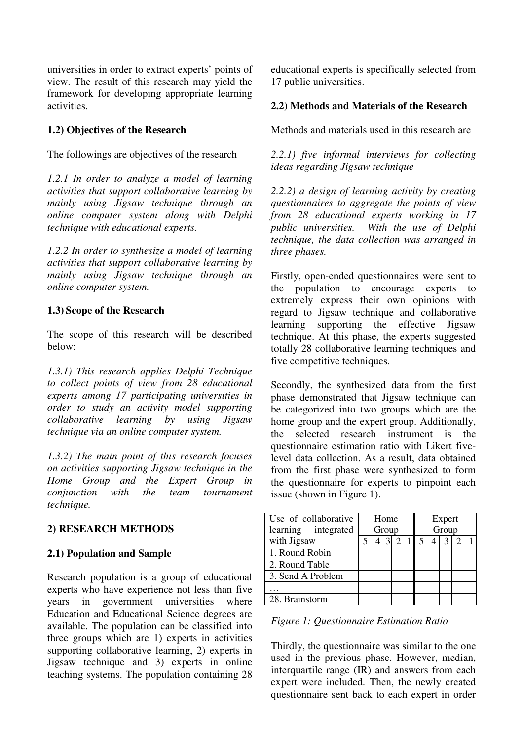universities in order to extract experts' points of view. The result of this research may yield the framework for developing appropriate learning activities.

## **1.2) Objectives of the Research**

The followings are objectives of the research

*1.2.1 In order to analyze a model of learning activities that support collaborative learning by mainly using Jigsaw technique through an online computer system along with Delphi technique with educational experts.* 

*1.2.2 In order to synthesize a model of learning activities that support collaborative learning by mainly using Jigsaw technique through an online computer system.* 

#### **1.3) Scope of the Research**

The scope of this research will be described below:

*1.3.1) This research applies Delphi Technique to collect points of view from 28 educational experts among 17 participating universities in order to study an activity model supporting collaborative learning by using Jigsaw technique via an online computer system.* 

*1.3.2) The main point of this research focuses on activities supporting Jigsaw technique in the Home Group and the Expert Group in conjunction with the team tournament technique.* 

#### **2) RESEARCH METHODS**

#### **2.1) Population and Sample**

Research population is a group of educational experts who have experience not less than five years in government universities where Education and Educational Science degrees are available. The population can be classified into three groups which are 1) experts in activities supporting collaborative learning, 2) experts in Jigsaw technique and 3) experts in online teaching systems. The population containing 28

educational experts is specifically selected from 17 public universities.

#### **2.2) Methods and Materials of the Research**

Methods and materials used in this research are

*2.2.1) five informal interviews for collecting ideas regarding Jigsaw technique* 

*2.2.2) a design of learning activity by creating questionnaires to aggregate the points of view from 28 educational experts working in 17 public universities. With the use of Delphi technique, the data collection was arranged in three phases.* 

Firstly, open-ended questionnaires were sent to the population to encourage experts to extremely express their own opinions with regard to Jigsaw technique and collaborative learning supporting the effective Jigsaw technique. At this phase, the experts suggested totally 28 collaborative learning techniques and five competitive techniques.

Secondly, the synthesized data from the first phase demonstrated that Jigsaw technique can be categorized into two groups which are the home group and the expert group. Additionally, the selected research instrument is the questionnaire estimation ratio with Likert fivelevel data collection. As a result, data obtained from the first phase were synthesized to form the questionnaire for experts to pinpoint each issue (shown in Figure 1).

| Use of collaborative<br>learning integrated | Home<br>Group |  |  | Expert<br>Group |  |  |  |  |  |
|---------------------------------------------|---------------|--|--|-----------------|--|--|--|--|--|
| with Jigsaw                                 |               |  |  |                 |  |  |  |  |  |
| 1. Round Robin                              |               |  |  |                 |  |  |  |  |  |
| 2. Round Table                              |               |  |  |                 |  |  |  |  |  |
| 3. Send A Problem                           |               |  |  |                 |  |  |  |  |  |
|                                             |               |  |  |                 |  |  |  |  |  |
| 28. Brainstorm                              |               |  |  |                 |  |  |  |  |  |

*Figure 1: Questionnaire Estimation Ratio* 

Thirdly, the questionnaire was similar to the one used in the previous phase. However, median, interquartile range  $(\overrightarrow{IR})$  and answers from each expert were included. Then, the newly created questionnaire sent back to each expert in order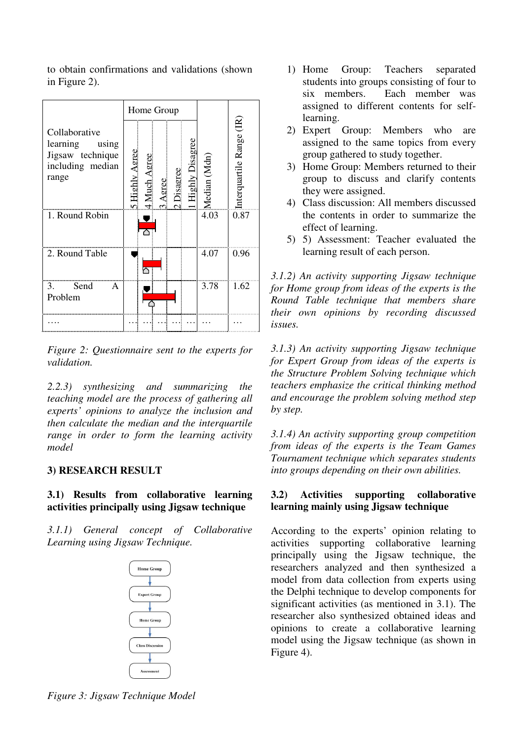to obtain confirmations and validations (shown in Figure 2).

|                                                                                     | Home Group                                                                                |                      |
|-------------------------------------------------------------------------------------|-------------------------------------------------------------------------------------------|----------------------|
| Collaborative<br>learning<br>using<br>Jigsaw technique<br>including median<br>range | <b>Highly Disagree</b><br>Highly Agree<br>Much Agree<br>Median (Mdn)<br>Disagree<br>Agree | erquartile Range (IR |
| 1. Round Robin                                                                      | 4.03                                                                                      | 0.87                 |
| 2. Round Table                                                                      | 4.07                                                                                      | 0.96                 |
| Send<br>3.<br>A<br>Problem                                                          | 3.78                                                                                      | 1.62                 |
|                                                                                     |                                                                                           |                      |

*Figure 2: Questionnaire sent to the experts for validation.* 

*2.2.3) synthesizing and summarizing the teaching model are the process of gathering all experts' opinions to analyze the inclusion and then calculate the median and the interquartile range in order to form the learning activity model* 

## **3) RESEARCH RESULT**

## **3.1) Results from collaborative learning activities principally using Jigsaw technique**

*3.1.1) General concept of Collaborative Learning using Jigsaw Technique.* 



- 1) Home Group: Teachers separated students into groups consisting of four to six members. Each member was assigned to different contents for selflearning.
- 2) Expert Group: Members who are assigned to the same topics from every group gathered to study together.
- 3) Home Group: Members returned to their group to discuss and clarify contents they were assigned.
- 4) Class discussion: All members discussed the contents in order to summarize the effect of learning.
- 5) 5) Assessment: Teacher evaluated the learning result of each person.

*3.1.2) An activity supporting Jigsaw technique for Home group from ideas of the experts is the Round Table technique that members share their own opinions by recording discussed issues.* 

*3.1.3) An activity supporting Jigsaw technique for Expert Group from ideas of the experts is the Structure Problem Solving technique which teachers emphasize the critical thinking method and encourage the problem solving method step by step.* 

*3.1.4) An activity supporting group competition from ideas of the experts is the Team Games Tournament technique which separates students into groups depending on their own abilities.* 

## **3.2) Activities supporting collaborative learning mainly using Jigsaw technique**

According to the experts' opinion relating to activities supporting collaborative learning principally using the Jigsaw technique, the researchers analyzed and then synthesized a model from data collection from experts using the Delphi technique to develop components for significant activities (as mentioned in 3.1). The researcher also synthesized obtained ideas and opinions to create a collaborative learning model using the Jigsaw technique (as shown in Figure 4).

*Figure 3: Jigsaw Technique Model*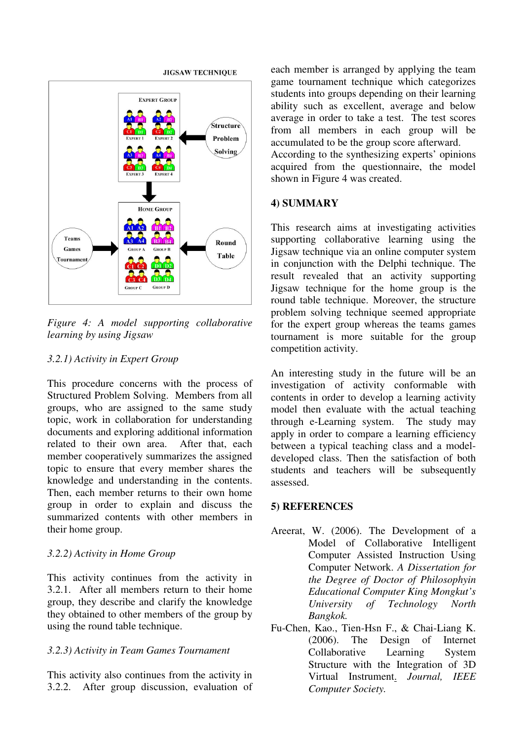

*Figure 4: A model supporting collaborative learning by using Jigsaw* 

### *3.2.1) Activity in Expert Group*

This procedure concerns with the process of Structured Problem Solving. Members from all groups, who are assigned to the same study topic, work in collaboration for understanding documents and exploring additional information related to their own area. After that, each member cooperatively summarizes the assigned topic to ensure that every member shares the knowledge and understanding in the contents. Then, each member returns to their own home group in order to explain and discuss the summarized contents with other members in their home group.

#### *3.2.2) Activity in Home Group*

This activity continues from the activity in 3.2.1. After all members return to their home group, they describe and clarify the knowledge they obtained to other members of the group by using the round table technique.

## *3.2.3) Activity in Team Games Tournament*

This activity also continues from the activity in 3.2.2. After group discussion, evaluation of

each member is arranged by applying the team game tournament technique which categorizes students into groups depending on their learning ability such as excellent, average and below average in order to take a test. The test scores from all members in each group will be accumulated to be the group score afterward.

According to the synthesizing experts' opinions acquired from the questionnaire, the model shown in Figure 4 was created.

### **4) SUMMARY**

This research aims at investigating activities supporting collaborative learning using the Jigsaw technique via an online computer system in conjunction with the Delphi technique. The result revealed that an activity supporting Jigsaw technique for the home group is the round table technique. Moreover, the structure problem solving technique seemed appropriate for the expert group whereas the teams games tournament is more suitable for the group competition activity.

An interesting study in the future will be an investigation of activity conformable with contents in order to develop a learning activity model then evaluate with the actual teaching through e-Learning system. The study may apply in order to compare a learning efficiency between a typical teaching class and a modeldeveloped class. Then the satisfaction of both students and teachers will be subsequently assessed.

## **5) REFERENCES**

- Areerat, W. (2006). The Development of a Model of Collaborative Intelligent Computer Assisted Instruction Using Computer Network. *A Dissertation for the Degree of Doctor of Philosophyin Educational Computer King Mongkut's University of Technology North Bangkok.*
- Fu-Chen, Kao., Tien-Hsn F., & Chai-Liang K. (2006). The Design of Internet Collaborative Learning System Structure with the Integration of 3D Virtual Instrument. *Journal, IEEE Computer Society.*

#### **JIGSAW TECHNIOUE**